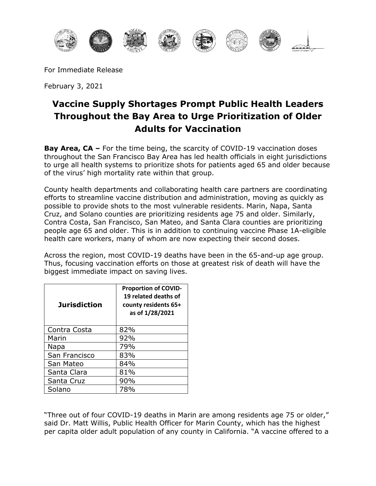

For Immediate Release

February 3, 2021

## **Vaccine Supply Shortages Prompt Public Health Leaders Throughout the Bay Area to Urge Prioritization of Older Adults for Vaccination**

**Bay Area, CA –** For the time being, the scarcity of COVID-19 vaccination doses throughout the San Francisco Bay Area has led health officials in eight jurisdictions to urge all health systems to prioritize shots for patients aged 65 and older because of the virus' high mortality rate within that group.

County health departments and collaborating health care partners are coordinating efforts to streamline vaccine distribution and administration, moving as quickly as possible to provide shots to the most vulnerable residents. Marin, Napa, Santa Cruz, and Solano counties are prioritizing residents age 75 and older. Similarly, Contra Costa, San Francisco, San Mateo, and Santa Clara counties are prioritizing people age 65 and older. This is in addition to continuing vaccine Phase 1A-eligible health care workers, many of whom are now expecting their second doses.

Across the region, most COVID-19 deaths have been in the 65-and-up age group. Thus, focusing vaccination efforts on those at greatest risk of death will have the biggest immediate impact on saving lives.

| <b>Jurisdiction</b> | <b>Proportion of COVID-</b><br>19 related deaths of<br>county residents 65+<br>as of 1/28/2021 |
|---------------------|------------------------------------------------------------------------------------------------|
| Contra Costa        | 82%                                                                                            |
| Marin               | 92%                                                                                            |
| Napa                | 79%                                                                                            |
| San Francisco       | 83%                                                                                            |
| San Mateo           | 84%                                                                                            |
| Santa Clara         | 81%                                                                                            |
| Santa Cruz          | 90%                                                                                            |
| Solano              | 78%                                                                                            |

"Three out of four COVID-19 deaths in Marin are among residents age 75 or older," said Dr. Matt Willis, Public Health Officer for Marin County, which has the highest per capita older adult population of any county in California. "A vaccine offered to a